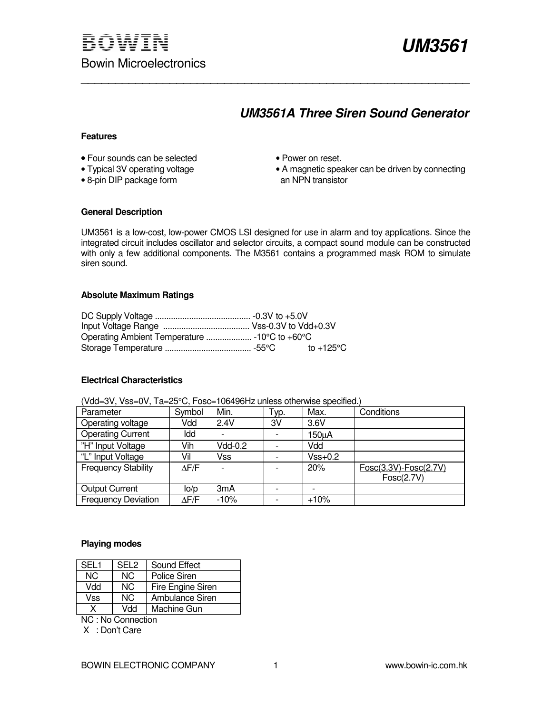

# **UM3561A Three Siren Sound Generator**

#### **Features**

- Four sounds can be selected Power on reset.<br>• Typical 3V operating voltage • A magnetic spea
- 
- $\bullet$  8-pin DIP package form
- 
- A magnetic speaker can be driven by connecting<br>an NPN transistor

#### **General Description**

UM3561 is a low-cost, low-power CMOS LSI designed for use in alarm and toy applications. Since the integrated circuit includes oscillator and selector circuits, a compact sound module can be constructed with only a few additional components. The M3561 contains a programmed mask ROM to simulate siren sound.

\_\_\_\_\_\_\_\_\_\_\_\_\_\_\_\_\_\_\_\_\_\_\_\_\_\_\_\_\_\_\_\_\_\_\_\_\_\_\_\_\_\_\_\_\_\_\_\_\_\_\_\_\_\_\_\_\_

#### **Absolute Maximum Ratings**

#### **Electrical Characteristics**

| <u>, ad-o , , , do-o , , , a-bo o, , ooo- i oo i ooi is aniooo oli loi moo opoolitoa.</u> |              |                  |      |           |                       |
|-------------------------------------------------------------------------------------------|--------------|------------------|------|-----------|-----------------------|
| Parameter                                                                                 | Symbol       | Min.             | Typ. | Max.      | Conditions            |
| Operating voltage                                                                         | Vdd          | 2.4V             | 3V   | 3.6V      |                       |
| <b>Operating Current</b>                                                                  | Idd          |                  |      | 150uA     |                       |
| "H" Input Voltage                                                                         | Vih          | Vdd-0.2          |      | Vdd       |                       |
| "L" Input Voltage                                                                         | Vil          | Vss              |      | $Vss+0.2$ |                       |
| <b>Frequency Stability</b>                                                                | $\Delta$ F/F |                  |      | 20%       | Fosc(3.3V)-Fosc(2.7V) |
|                                                                                           |              |                  |      |           | Fosc(2.7V)            |
| <b>Output Current</b>                                                                     | lo/p         | 3 <sub>m</sub> A |      |           |                       |
| <b>Frequency Deviation</b>                                                                | $\Delta$ F/F | $-10%$           |      | $+10%$    |                       |

(Vdd=3V, Vss=0V, Ta=25°C, Fosc=106496Hz unless otherwise specified.)

#### **Playing modes**

| SEL <sub>1</sub> | SEL <sub>2</sub> | Sound Effect           |
|------------------|------------------|------------------------|
| NC.              | NC.              | <b>Police Siren</b>    |
| Vdd              | NC.              | Fire Engine Siren      |
| Vss              | NC.              | <b>Ambulance Siren</b> |
| x                | Mdd              | Machine Gun            |

NC : No Connection

X : Don't Care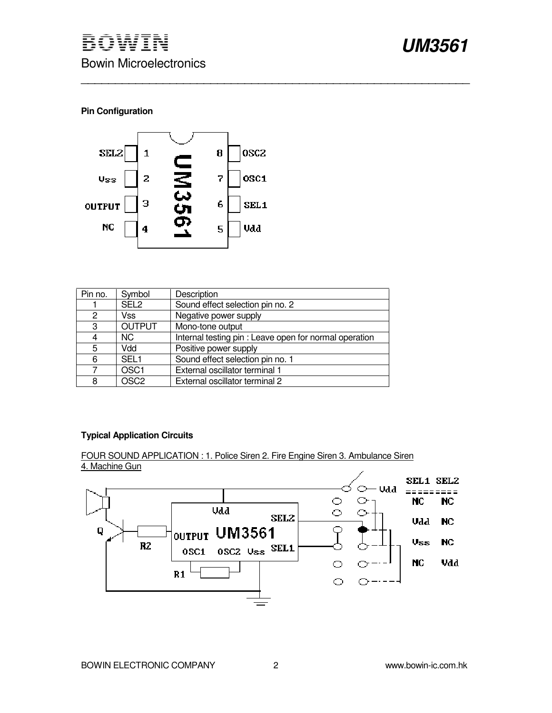## **Pin Configuration**



| Pin no. | Symbol           | Description                                            |
|---------|------------------|--------------------------------------------------------|
|         | SEL <sub>2</sub> | Sound effect selection pin no. 2                       |
| 2       | Vss              | Negative power supply                                  |
| 3       | <b>OUTPUT</b>    | Mono-tone output                                       |
| 4       | NC.              | Internal testing pin : Leave open for normal operation |
| 5       | Vdd              | Positive power supply                                  |
| 6       | SEL <sub>1</sub> | Sound effect selection pin no. 1                       |
|         | OSC <sub>1</sub> | External oscillator terminal 1                         |
| 8       | OSC <sub>2</sub> | External oscillator terminal 2                         |

\_\_\_\_\_\_\_\_\_\_\_\_\_\_\_\_\_\_\_\_\_\_\_\_\_\_\_\_\_\_\_\_\_\_\_\_\_\_\_\_\_\_\_\_\_\_\_\_\_\_\_\_\_\_\_\_\_

### **Typical Application Circuits**

FOUR SOUND APPLICATION : 1. Police Siren 2. Fire Engine Siren 3. Ambulance Siren 4. Machine Gun